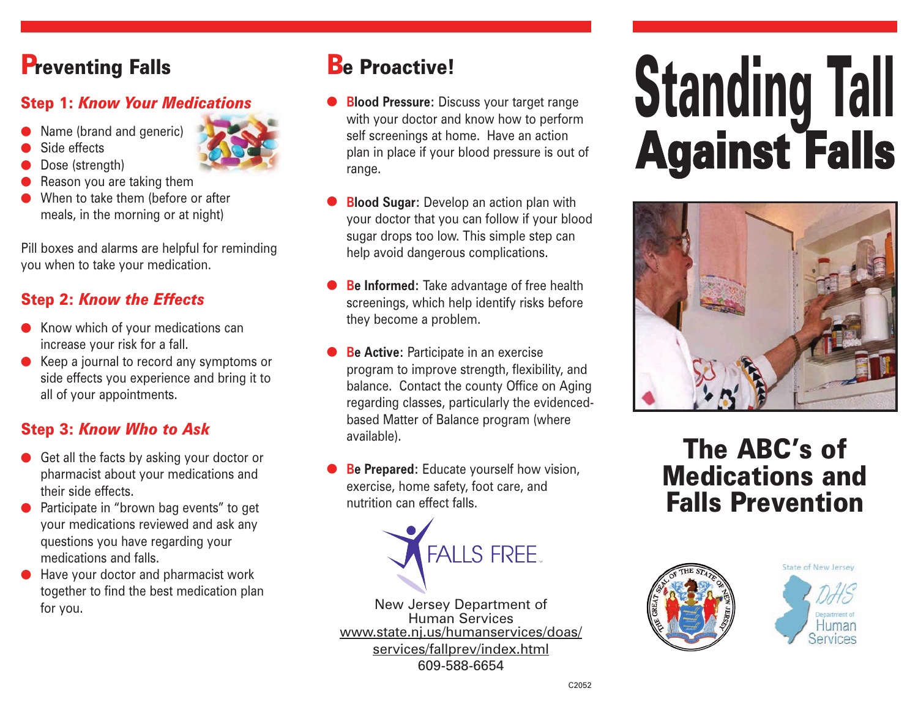## **Preventing Falls**

#### Step 1: *Know Your Medications*

- Name (brand and generic)
- Side effects
- Dose (strength)
- Reason you are taking them
- When to take them (before or after meals, in the morning or at night)

Pill boxes and alarms are helpful for reminding you when to take your medication.

#### Step 2: *Know the Effects*

- $\bullet$  Know which of your medications can increase your risk for a fall.
- Keep a journal to record any symptoms or side effects you experience and bring it to all of your appointments.

#### Step 3: *Know Who to Ask*

- Get all the facts by asking your doctor or pharmacist about your medications and their side effects.
- Participate in "brown bag events" to get your medications reviewed and ask any questions you have regarding your medications and falls.
- Have your doctor and pharmacist work together to find the best medication plan for you.

#### **Be Proactive!**

- **Blood Pressure:** Discuss your target range with your doctor and know how to perform self screenings at home. Have an action plan in place if your blood pressure is out of range.
- **Blood Sugar:** Develop an action plan with your doctor that you can follow if your blood sugar drops too low. This simple step can help avoid dangerous complications.
- **Be Informed:** Take advantage of free health screenings, which help identify risks before they become a problem.
- **Be Active: Participate in an exercise** program to improve strength, flexibility, and balance. Contact the county Office on Aging regarding classes, particularly the evidencedbased Matter of Balance program (where available).
- **Be Prepared:** Educate yourself how vision, exercise, home safety, foot care, and nutrition can effect falls.



New Jersey Department of Human Services www.state.nj.us/humanservices/doas/ services/fallprev/index.html 609-588-6654

# Standing Tall Against Falls



## The ABC's of Medications and Falls Prevention